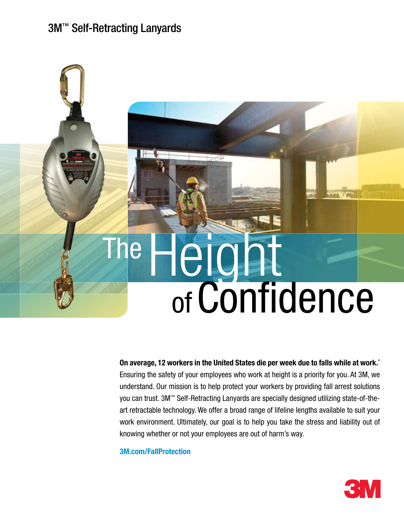#### 3M™ Self-Retracting Lanyards

# The Height ofConfidence

On average, 12 workers in the United States die per week due to falls while at work.\* Ensuring the safety of your employees who work at height is a priority for you. At 3M, we understand. Our mission is to help protect your workers by providing fall arrest solutions you can trust. 3M™ Self-Retracting Lanyards are specially designed utilizing state-of-theart retractable technology. We offer a broad range of lifeline lengths available to suit your work environment. Ultimately, our goal is to help you take the stress and liability out of knowing whether or not your employees are out of harm's way.

3M.com/FallProtection

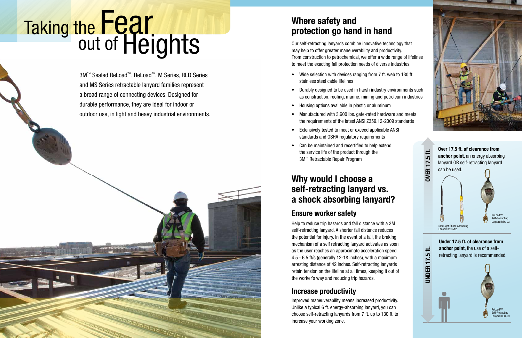## he Fear<br>out of Heights Taking the **Pale is a set of the Where safety and Where safety and Where safety and**

3M™ Sealed ReLoad™, ReLoad™, M Series, RLD Series and MS Series retractable lanyard families represent a broad range of connecting devices. Designed for durable performance, they are ideal for indoor or outdoor use, in light and heavy industrial environments.

**REIEIEIEIEIEIEI** 

- Wide selection with devices ranging from 7 ft. web to 130 ft. stainless steel cable lifelines
- Durably designed to be used in harsh industry environments such as construction, roofing, marine, mining and petroleum industries
- Housing options available in plastic or aluminum
- Manufactured with 3,600 lbs. gate-rated hardware and meets the requirements of the latest ANSI Z359.12-2009 standards
- Extensively tested to meet or exceed applicable ANSI standards and OSHA regulatory requirements
- Can be maintained and recertified to help extend the service life of the product through the 3M™ Retractable Repair Program

#### Ensure worker safety

#### Increase productivity

ReLoad™ Self-Retracting Lanyard REC-23



SafeLight Shock Absorbing Lanyard 209512

Under 17.5 ft. of clearance from anchor point, the use of a selfretracting lanyard is recommended.

Over 17.5 ft. of clearance from anchor point, an energy absorbing lanyard OR self-retracting lanyard can be used.



## protection go hand in hand

#### Why would I choose a self-retracting lanyard vs. a shock absorbing lanyard?

Our self-retracting lanyards combine innovative technology that may help to offer greater maneuverability and productivity. From construction to petrochemical, we offer a wide range of lifelines to meet the exacting fall protection needs of diverse industries.

Help to reduce trip hazards and fall distance with a 3M self-retracting lanyard. A shorter fall distance reduces the potential for injury. In the event of a fall, the braking mechanism of a self retracting lanyard activates as soon as the user reaches an approximate acceleration speed 4.5 - 6.5 ft/s (generally 12-18 inches), with a maximum arresting distance of 42 inches. Self-retracting lanyards retain tension on the lifeline at all times, keeping it out of the worker's way and reducing trip hazards.

Improved maneuverability means increased productivity. Unlike a typical 6 ft. energy-absorbing lanyard, you can choose self-retracting lanyards from 7 ft. up to 130 ft. to increase your working zone.



UNDER 17.5 ft. OVER 17.5 ft.

₩

**UNDER 17.5** 

ַחֲ

**OVER 17.** 

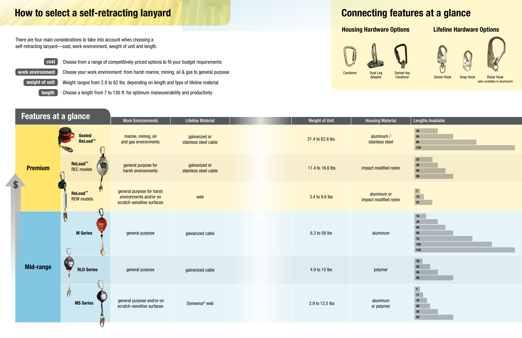Features at a glance Work Environments | Lifeline Material | **Liteline Material | Length of Unit Hou**sing Material | Lengths Available Sealed marine, mining, oil stainless steel cable 21.4 to 62.6 lbs aluminum /<br>Stainless steel cable 21.4 to 62.6 lbs and cable 21.4 to 62.6 lbs and cable 21.4 to 62.6 lbs and cable 3.5 cm galvanized or ReLoad™ and gas environments stainless ReLoad™ general purpose for galvanized or Premium stainless steel cable 11.4 to 16.6 lbs impact modified nylon stainless steel cable REC models harsh environments \$ general purpose for harsh ReLoad™ web 3.4 to 9.6 lbs aluminum or and the state of the state of the state of the state of the state of the state o<br>3.4 to 9.6 lbs and the state of the state of the state of the state of the state of the state of the state of environments and/or on REW models impact modi scratch-sensitive surfaces M Series general purpose galvanized cable 6.3 to 58 lbs aluminum capacity of the distribution of the distribution of the distribution of the distribution of the distribution of the distribution of the distribution of the distributi Ò Mid-range RLD Series general purpose galvanized cable 4.9 to 15 lbs polymeral purpose polymeral purpose Ñ general purpose and/or on general purpose and/or on aluminum byneema® web and the sensitive surfaces of polymeral purpose and or polymer<br>Scratch-sensitive surfaces and aluminum byneema® web and the sensitive surfaces or polymeral purpose and the s MS Series or poly

 $\left(\right.$  work environment  $\left.\right)$  Choose your work environment: from harsh marine, mining, oil & gas to general purpose Weight ranges from 2.9 to 62 lbs. depending on length and type of lifeline material

There are four main considerations to take into account when choosing a self-retracting lanyard—cost, work environment, weight of unit and length.



**Carabiner** 







Swivel Hook Snap Hook Rebar Hook (also available in aluminum)

### How to select a self-retracting lanyard

length



weight of unit

| laterial           | <b>Lengths Available</b>                         |
|--------------------|--------------------------------------------------|
| Im/<br>steel       | 30<br>50<br>85<br>130                            |
| fied nylon         | 23<br>30<br>40<br>${\bf 50}$                     |
| m or<br>fied nylon | $\overline{7}$<br>$12$<br>23                     |
| um                 | 15<br>$30\,$<br>40<br>50<br>75<br>100<br>130     |
| ler                | 10<br>20<br>30<br>50                             |
| um<br>mer          | $\overline{7}$<br>11<br>16<br>20<br>$30\,$<br>50 |

Choose a length from 7 to 130 ft. for optimum maneuverability and productivity

Choose from a range of competitively-priced options to fit your budget requirements

## Connecting features at a glance

#### Housing Hardware Options



Carabiner Dual Leg

Adapter

#### Lifeline Hardware Options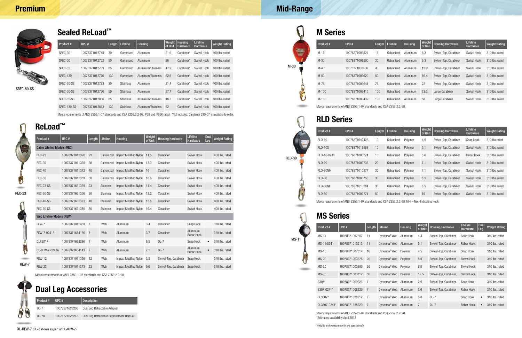| Product #   | UPC#           | Length | Lifeline   | Housing | Weight<br>of Unit | <b>Housing Hardware</b> | Lifeline<br>Hardware | <b>Weight Rating</b> |
|-------------|----------------|--------|------------|---------|-------------------|-------------------------|----------------------|----------------------|
| $RLD-10$    | 10078371642423 | 10     | Galvanized | Polymer | 4.9               | Swivel-Top, Carabiner   | Snap Hook            | 310 lbs.rated        |
| $RLD-10S$   | 10078371013568 | 10     | Galvanized | Polymer | 5.1               | Swivel-Top, Carabiner   | Swivel Hook          | 310 lbs. rated       |
| RLD-10-0241 | 10078371008274 | 10     | Galvanized | Polymer | 5.6               | Swivel-Top, Carabiner   | Rebar Hook           | 310 lbs. rated       |
| $RLD-20$    | 10078371003736 | 20     | Galvanized | Polymer | 7.1               | Swivel-Top, Carabiner   | Swivel Hook          | 310 lbs. rated       |
| RLD-20NIH   | 10078371010277 | 20     | Galvanized | Polymer | 7.1               | Swivel-Top, Carabiner   | Swivel Hook          | 310 lbs. rated       |
| $RLD-30$    | 10078371003750 | 30     | Galvanized | Polymer | 8.5               | Swivel-Top, Carabiner   | Swivel Hook          | 310 lbs. rated       |
| RLD-30NIH   | 10078371010284 | 30     | Galvanized | Polymer | 8.5               | Swivel-Top, Carabiner   | Swivel Hook          | 310 lbs. rated       |
| $RLD-50$    | 10078371003774 | 50     | Galvanized | Polymer | 15                | Swivel-Top, Carabiner   | Swivel Hook          | 310 lbs. rated       |

Meets requirements of ANSI Z359.1-07 standards and CSA Z259.2.2-98. NIH = Non-Indicating Hook

| SREC-50-SS |  |
|------------|--|
|------------|--|

#### Mid-Range



M Series

#### MS Series

#### RLD Series

Meets requirements of ANSI Z359.1-07 standards and CSA Z259.2.2-98. \*Estimated availability April 2012

Weights and measurements are approximate

| Product # | UPC#           | Length | Lifeline   | <b>Housing</b> | Weight<br>of Unit | <b>Housing Hardware</b> | Lifeline<br>Hardware | <b>Weight Rating</b> |
|-----------|----------------|--------|------------|----------------|-------------------|-------------------------|----------------------|----------------------|
| $M-15$    | 10078371003521 | 15     | Galvanized | Aluminum       | 6.3               | Swivel-Top, Carabiner   | Swivel Hook          | 310 lbs. rated       |
| $M-30$    | 10078371003590 | 30     | Galvanized | Aluminum       | 9.3               | Swivel-Top, Carabiner   | Swivel Hook          | 310 lbs. rated       |
| $M-40$    | 10078371003606 | 40     | Galvanized | Aluminum       | 12.9              | Swivel-Top, Carabiner   | Swivel Hook          | 310 lbs. rated       |
| $M-50$    | 10078371003620 | 50     | Galvanized | Aluminum       | 16.4              | Swivel-Top, Carabiner   | Swivel Hook          | 310 lbs. rated       |
| M-75      | 10078371003644 | 75     | Galvanized | Aluminum       | 22                | Swivel-Top, Carabiner   | Swivel Hook          | 310 lbs. rated       |
| $M - 100$ | 10078371003415 | 100    | Galvanized | Aluminum       | 33.3              | Large Carabiner         | Swivel Hook          | 310 lbs. rated       |
| M-130     | 10078371003439 | 130    | Galvanized | Aluminum       | 58                | Large Carabiner         | Swivel Hook          | 310 lbs. rated       |

|               | <b>ReLoad™</b>                     |                |                |                  |                              |                   |                         |                        |                    |                      |  |  |  |
|---------------|------------------------------------|----------------|----------------|------------------|------------------------------|-------------------|-------------------------|------------------------|--------------------|----------------------|--|--|--|
|               | Product #                          | UPC#           | Length         | Lifeline         | <b>Housing</b>               | Weight<br>of Unit | <b>Housing Hardware</b> | Lifeline<br>Hardware   | <b>Dual</b><br>Leg | <b>Weight Rating</b> |  |  |  |
|               | <b>Cable Lifeline Models (REC)</b> |                |                |                  |                              |                   |                         |                        |                    |                      |  |  |  |
|               | <b>REC-23</b>                      | 10078371011328 | 23             | Galvanized       | <b>Impact Modified Nylon</b> | 11.5              | Carabiner               | Swivel Hook            |                    | 400 lbs. rated       |  |  |  |
|               | <b>REC-30</b>                      | 10078371011335 | 30             | Galvanized       | Impact Modified Nylon        | 13.3              | Carabiner               | Swivel Hook            |                    | 400 lbs. rated       |  |  |  |
|               | <b>REC-40</b>                      | 10078371011342 | 40             | Galvanized       | <b>Impact Modified Nylon</b> | 16                | Carabiner               | Swivel Hook            |                    | 400 lbs. rated       |  |  |  |
|               | <b>REC-50</b>                      | 10078371011359 | 50             | Galvanized       | <b>Impact Modified Nylon</b> | 16.6              | Carabiner               | Swivel Hook            |                    | 400 lbs. rated       |  |  |  |
|               | REC-23-SS                          | 10078371631359 | 23             | <b>Stainless</b> | Impact Modified Nylon        | 11.4              | Carabiner               | Swivel Hook            |                    | 400 lbs. rated       |  |  |  |
| <b>REC-23</b> | REC-30-SS                          | 10078371631366 | 30             | <b>Stainless</b> | <b>Impact Modified Nylon</b> | 13.2              | Carabiner               | Swivel Hook            |                    | 400 lbs. rated       |  |  |  |
|               | <b>REC-40-SS</b>                   | 10078371631373 | 40             | <b>Stainless</b> | Impact Modified Nylon        | 15.8              | Carabiner               | Swivel Hook            |                    | 400 lbs. rated       |  |  |  |
|               | <b>REC-50-SS</b>                   | 10078371631380 | 50             | <b>Stainless</b> | Impact Modified Nylon        | 16.4              | Carabiner               | Swivel Hook            |                    | 400 lbs. rated       |  |  |  |
|               | <b>Web Lifeline Models (REW)</b>   |                |                |                  |                              |                   |                         |                        |                    |                      |  |  |  |
|               | REW-7                              | 10078371011458 | $\overline{7}$ | Web              | Aluminum                     | 3.4               | Carabiner               | Snap Hook              |                    | 310 lbs. rated       |  |  |  |
|               | REW-7-0241A                        | 10078371654136 | $\overline{7}$ | Web              | Aluminum                     | 3.7               | Carabiner               | Aluminum<br>Rebar Hook |                    | 310 lbs. rated       |  |  |  |
|               | DLREW-7                            | 10078371628236 | 7              | Web              | Aluminum                     | 6.5               | $DL-7$                  | Snap Hook              | $\bullet$          | 310 lbs. rated       |  |  |  |
|               | DL-REW-7-0241A                     | 10078371654143 | $\overline{7}$ | Web              | Aluminum                     | 7.1               | $DL-7$                  | Aluminum<br>Rebar Hook | $\bullet$          | 310 lbs. rated       |  |  |  |
|               | <b>REW-12</b>                      | 10078371011366 | 12             | Web              | Impact Modified Nylon        | 3.5               | Swivel-Top, Carabiner   | Snap Hook              |                    | 310 lbs. rated       |  |  |  |
| REW-7         | <b>REW-23</b>                      | 10078371011373 | 23             | Web              | <b>Impact Modified Nylon</b> | 9.6               | Swivel-Top, Carabiner   | Snap Hook              |                    | 310 lbs. rated       |  |  |  |
|               |                                    |                |                |                  |                              |                   |                         |                        |                    |                      |  |  |  |

| Product #    | UPC#           | Length | <b>Lifeline</b>          | <b>Housing</b> | Weight<br>of Unit | <b>Housing Hardware</b> | <b>Lifeline</b><br><b>Hardware</b> | <b>Dual</b><br>Leg | <b>Weight Rating</b> |
|--------------|----------------|--------|--------------------------|----------------|-------------------|-------------------------|------------------------------------|--------------------|----------------------|
| <b>MS-11</b> | 10078371007307 | 11     | Dyneema <sup>®</sup> Web | Aluminum       | 4.4               | Swivel-Top, Carabiner   | Snap Hook                          |                    | 310 lbs. rated       |
| MS-11/0241   | 10078371013513 | 11     | Dyneema <sup>®</sup> Web | Aluminum       | 5.1               | Swivel-Top, Carabiner   | Rebar Hook                         |                    | 310 lbs. rated       |
| <b>MS-16</b> | 10078371007314 | 16     | Dyneema <sup>®</sup> Web | Polymer        | 4.5               | Swivel-Top, Carabiner   | Snap Hook                          |                    | 310 lbs. rated       |
| $MS-20$      | 10078371003675 | 20     | Dyneema <sup>®</sup> Web | Polymer        | 5.5               | Swivel-Top, Carabiner   | Swivel Hook                        |                    | 310 lbs. rated       |
| $MS-30$      | 10078371003699 | 30     | Dyneema <sup>®</sup> Web | Polymer        | 6.5               | Swivel-Top, Carabiner   | Swivel Hook                        |                    | 310 lbs. rated       |
| $MS-50$      | 10078371003712 | 50     | Dyneema <sup>®</sup> Web | Polymer        | 12.5              | Swivel-Top, Carabiner   | Swivel Hook                        |                    | 310 lbs. rated       |
| 3307*        | 10078371009226 | 7      | Dyneema <sup>®</sup> Web | Aluminum       | 2.9               | Swivel-Top, Carabiner   | Snap Hook                          |                    | 310 lbs. rated       |
| 3307-0241*   | 10078371008229 | 7      | Dyneema <sup>®</sup> Web | Aluminum       | 3.6               | Swivel-Top, Carabiner   | Rebar Hook                         |                    | 310 lbs. rated       |
| DL3307*      | 10078371628212 | 7      | Dyneema <sup>®</sup> Web | Aluminum       | 5.8               | $DL-7$                  | Snap Hook                          | $\bullet$          | 310 lbs. rated       |
| DL3307-0241* | 10078371628229 | -7     | Dyneema <sup>®</sup> Web | Aluminum       | 7                 | $DL-7$                  | Rebar Hook                         | $\bullet$          | 310 lbs. rated       |

Meets requirements of ANSI Z359.1-07 standards and CSA Z259.2.2-98. IP68 and IP69K rated. \*Not included. Carabiner 210-07 is available to order.



| Sealed ReLoad <sup>™</sup> |                |        |                  |                    |                   |                                   |                                    |                      |
|----------------------------|----------------|--------|------------------|--------------------|-------------------|-----------------------------------|------------------------------------|----------------------|
| Product #                  | UPC#           | Length | Lifeline         | Housing            | Weight<br>of Unit | <b>Housing</b><br><b>Hardware</b> | <b>Lifeline</b><br><b>Hardware</b> | <b>Weight Rating</b> |
| SREC-30                    | 10078371012745 | 30     | Galvanized       | Aluminum           | 21.6              | Carabiner*                        | Swivel Hook                        | 400 lbs. rated       |
| SREC-50                    | 10078371012752 | 50     | Galvanized       | Aluminum           | 28                | Carabiner*                        | Swivel Hook                        | 400 lbs. rated       |
| SREC-85                    | 10078371012769 | 85     | Galvanized       | Aluminum/Stainless | 47.9              | Carabiner*                        | Swivel Hook                        | 400 lbs. rated       |
| <b>SREC-130</b>            | 10078371012776 | 130    | Galvanized       | Aluminum/Stainless | 62.6              | Carabiner*                        | Swivel Hook                        | 400 lbs. rated       |
| SREC-30-SS                 | 10078371012783 | 30     | <b>Stainless</b> | Aluminum           | 21.4              | Carabiner*                        | Swivel Hook                        | 400 lbs. rated       |
| SREC-50-SS                 | 10078371012790 | 50     | <b>Stainless</b> | Aluminum           | 27.7              | Carabiner*                        | Swivel Hook                        | 400 lbs. rated       |
| SREC-85-SS                 | 10078371012806 | 85     | <b>Stainless</b> | Aluminum/Stainless | 48.3              | Carabiner*                        | Swivel Hook                        | 400 lbs. rated       |
| SREC-130-SS                | 10078371012813 | 130    | <b>Stainless</b> | Aluminum/Stainless | 62                | Carabiner*                        | Swivel Hook                        | 400 lbs. rated       |

|   | Product#  | $ $ UPC #      | Description                               |
|---|-----------|----------------|-------------------------------------------|
|   | DI -7     | 10078371628205 | Dual Leg Retractable Adapter              |
| 州 | $DI - 7B$ | 10078371628243 | Dual Leg Retractable Replacement Bolt Set |

### Dual Leg Accessories

Meets requirements of ANSI Z359.1-07 standards and CSA Z259.2.2-98.



**COLOR** 

RLD-30

MS-11

U came .

Meets requirements of ANSI Z359.1-07 standards and CSA Z259.2.2-98.

DL-REW-7 (DL-7 shown as part of DL-REW-7)